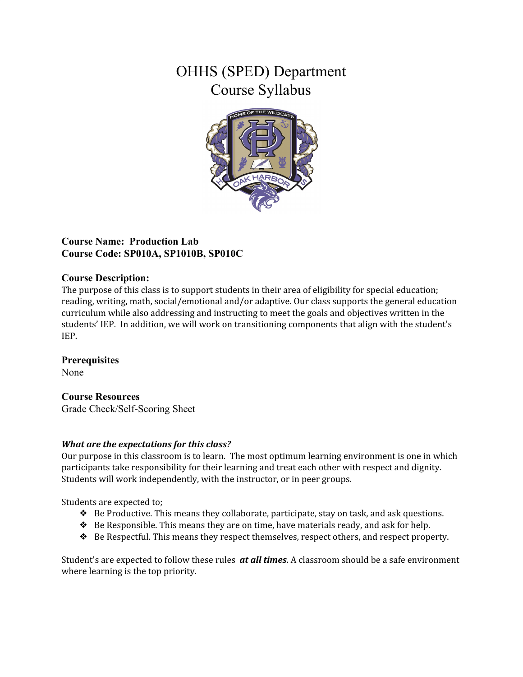# OHHS (SPED) Department Course Syllabus



# **Course Name: Production Lab Course Code: SP010A, SP1010B, SP010C**

## **Course Description:**

The purpose of this class is to support students in their area of eligibility for special education; reading, writing, math, social/emotional and/or adaptive. Our class supports the general education curriculum while also addressing and instructing to meet the goals and objectives written in the students' IEP. In addition, we will work on transitioning components that align with the student's IEP.

## **Prerequisites**

None

# **Course Resources**

Grade Check/Self-Scoring Sheet

## *What are the expectations for this class?*

Our purpose in this classroom is to learn. The most optimum learning environment is one in which participants take responsibility for their learning and treat each other with respect and dignity. Students will work independently, with the instructor, or in peer groups.

Students are expected to;

- ❖ Be Productive. This means they collaborate, participate, stay on task, and ask questions.
- ❖ Be Responsible. This means they are on time, have materials ready, and ask for help.
- ❖ Be Respectful. This means they respect themselves, respect others, and respect property.

Student's are expected to follow these rules *at all times*. A classroom should be a safe environment where learning is the top priority.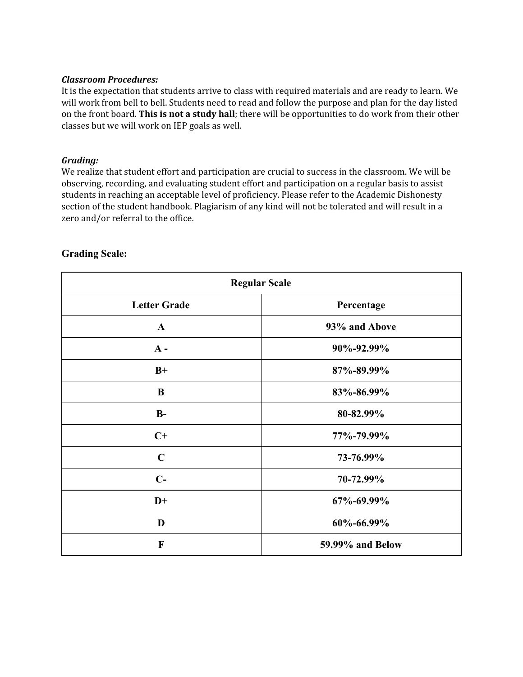#### *Classroom Procedures:*

It is the expectation that students arrive to class with required materials and are ready to learn. We will work from bell to bell. Students need to read and follow the purpose and plan for the day listed on the front board. **This is not a study hall**; there will be opportunities to do work from their other classes but we will work on IEP goals as well.

#### *Grading:*

We realize that student effort and participation are crucial to success in the classroom. We will be observing, recording, and evaluating student effort and participation on a regular basis to assist students in reaching an acceptable level of proficiency. Please refer to the Academic Dishonesty section of the student handbook. Plagiarism of any kind will not be tolerated and will result in a zero and/or referral to the office.

| <b>Regular Scale</b> |                  |
|----------------------|------------------|
| <b>Letter Grade</b>  | Percentage       |
| $\mathbf{A}$         | 93% and Above    |
| $A -$                | 90%-92.99%       |
| $B+$                 | 87%-89.99%       |
| $\bf{B}$             | 83%-86.99%       |
| $B-$                 | 80-82.99%        |
| $C+$                 | 77%-79.99%       |
| $\mathbf C$          | 73-76.99%        |
| $C-$                 | 70-72.99%        |
| $D+$                 | 67%-69.99%       |
| D                    | 60%-66.99%       |
| $\mathbf F$          | 59.99% and Below |

## **Grading Scale:**